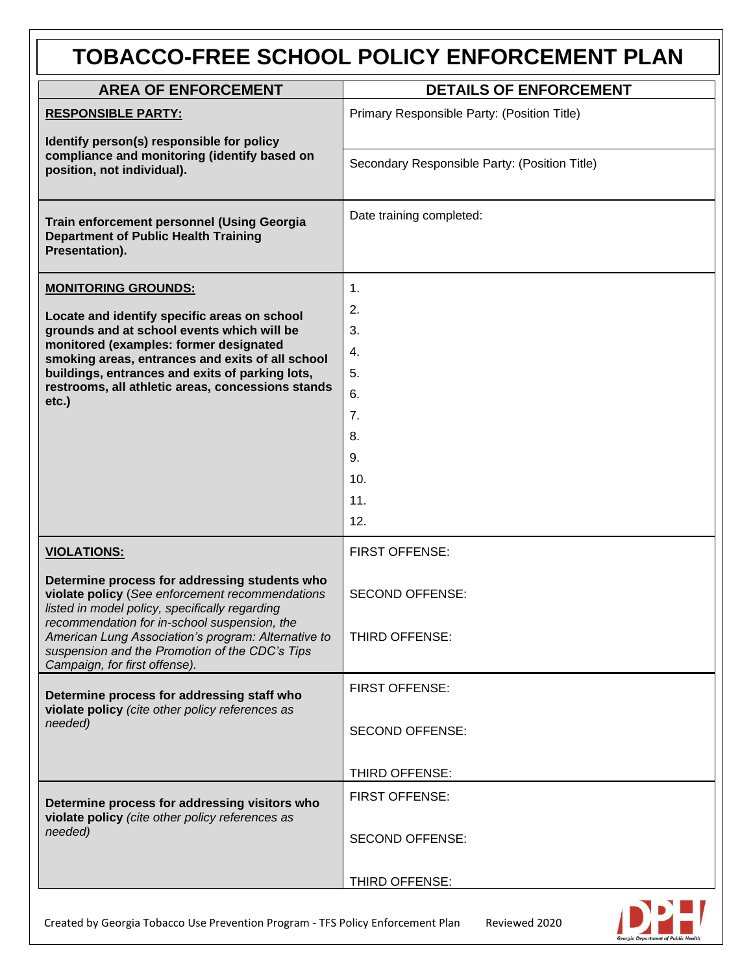## **TOBACCO-FREE SCHOOL POLICY ENFORCEMENT PLAN**

| <b>AREA OF ENFORCEMENT</b>                                                                                                                                                               | <b>DETAILS OF ENFORCEMENT</b>                 |
|------------------------------------------------------------------------------------------------------------------------------------------------------------------------------------------|-----------------------------------------------|
| <b>RESPONSIBLE PARTY:</b>                                                                                                                                                                | Primary Responsible Party: (Position Title)   |
| Identify person(s) responsible for policy<br>compliance and monitoring (identify based on<br>position, not individual).                                                                  |                                               |
|                                                                                                                                                                                          | Secondary Responsible Party: (Position Title) |
|                                                                                                                                                                                          |                                               |
| Train enforcement personnel (Using Georgia                                                                                                                                               | Date training completed:                      |
| <b>Department of Public Health Training</b><br>Presentation).                                                                                                                            |                                               |
|                                                                                                                                                                                          |                                               |
| <b>MONITORING GROUNDS:</b>                                                                                                                                                               | 1.                                            |
| Locate and identify specific areas on school<br>grounds and at school events which will be<br>monitored (examples: former designated<br>smoking areas, entrances and exits of all school | 2.                                            |
|                                                                                                                                                                                          | 3.                                            |
|                                                                                                                                                                                          | 4.                                            |
| buildings, entrances and exits of parking lots,<br>restrooms, all athletic areas, concessions stands                                                                                     | 5.                                            |
| etc.)                                                                                                                                                                                    | 6.                                            |
|                                                                                                                                                                                          | 7.                                            |
|                                                                                                                                                                                          | 8.<br>9.                                      |
|                                                                                                                                                                                          | 10.                                           |
|                                                                                                                                                                                          | 11.                                           |
|                                                                                                                                                                                          | 12.                                           |
| <b>VIOLATIONS:</b>                                                                                                                                                                       | <b>FIRST OFFENSE:</b>                         |
|                                                                                                                                                                                          |                                               |
| Determine process for addressing students who<br>violate policy (See enforcement recommendations                                                                                         | <b>SECOND OFFENSE:</b>                        |
| listed in model policy, specifically regarding<br>recommendation for in-school suspension, the                                                                                           |                                               |
| American Lung Association's program: Alternative to                                                                                                                                      | THIRD OFFENSE:                                |
| suspension and the Promotion of the CDC's Tips<br>Campaign, for first offense).                                                                                                          |                                               |
| Determine process for addressing staff who                                                                                                                                               | <b>FIRST OFFENSE:</b>                         |
| violate policy (cite other policy references as<br>needed)                                                                                                                               |                                               |
|                                                                                                                                                                                          | <b>SECOND OFFENSE:</b>                        |
|                                                                                                                                                                                          | THIRD OFFENSE:                                |
| Determine process for addressing visitors who<br>violate policy (cite other policy references as<br>needed)                                                                              | <b>FIRST OFFENSE:</b>                         |
|                                                                                                                                                                                          |                                               |
|                                                                                                                                                                                          | <b>SECOND OFFENSE:</b>                        |
|                                                                                                                                                                                          |                                               |
|                                                                                                                                                                                          | THIRD OFFENSE:                                |

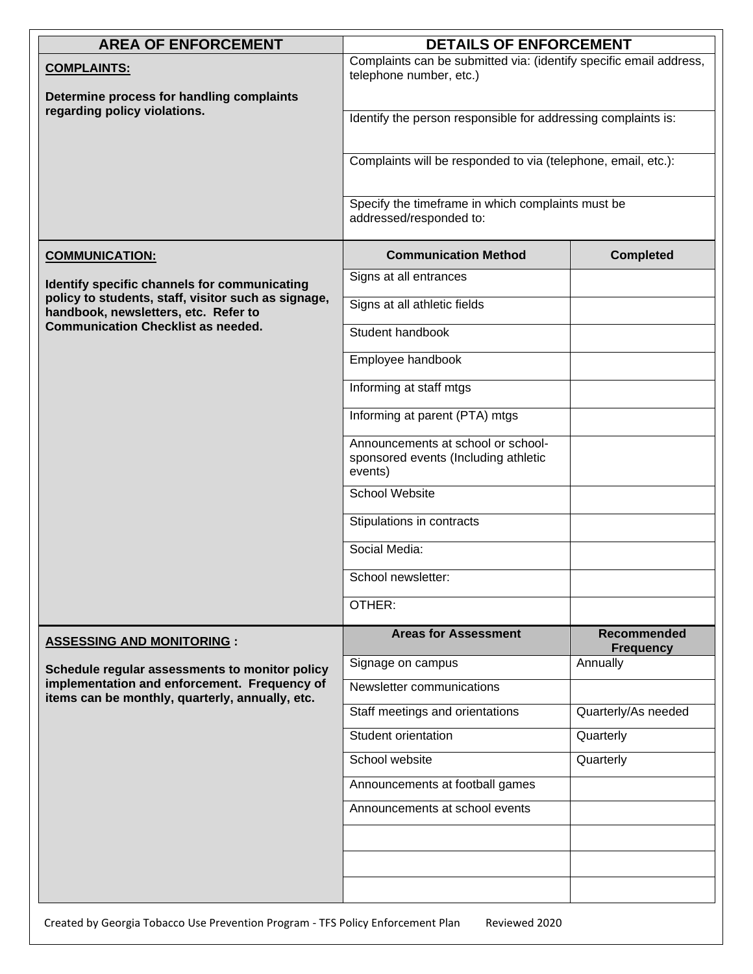| <b>AREA OF ENFORCEMENT</b>                                                                                                                                                               | <b>DETAILS OF ENFORCEMENT</b>                                                                 |                                 |
|------------------------------------------------------------------------------------------------------------------------------------------------------------------------------------------|-----------------------------------------------------------------------------------------------|---------------------------------|
| <b>COMPLAINTS:</b>                                                                                                                                                                       | Complaints can be submitted via: (identify specific email address,<br>telephone number, etc.) |                                 |
| Determine process for handling complaints                                                                                                                                                |                                                                                               |                                 |
| regarding policy violations.                                                                                                                                                             | Identify the person responsible for addressing complaints is:                                 |                                 |
|                                                                                                                                                                                          | Complaints will be responded to via (telephone, email, etc.):                                 |                                 |
|                                                                                                                                                                                          | Specify the timeframe in which complaints must be<br>addressed/responded to:                  |                                 |
| <b>COMMUNICATION:</b>                                                                                                                                                                    | <b>Communication Method</b>                                                                   | <b>Completed</b>                |
| Identify specific channels for communicating<br>policy to students, staff, visitor such as signage,<br>handbook, newsletters, etc. Refer to<br><b>Communication Checklist as needed.</b> | Signs at all entrances                                                                        |                                 |
|                                                                                                                                                                                          | Signs at all athletic fields                                                                  |                                 |
|                                                                                                                                                                                          | Student handbook                                                                              |                                 |
|                                                                                                                                                                                          | Employee handbook                                                                             |                                 |
|                                                                                                                                                                                          | Informing at staff mtgs                                                                       |                                 |
|                                                                                                                                                                                          | Informing at parent (PTA) mtgs                                                                |                                 |
|                                                                                                                                                                                          | Announcements at school or school-<br>sponsored events (Including athletic<br>events)         |                                 |
|                                                                                                                                                                                          | School Website                                                                                |                                 |
|                                                                                                                                                                                          | Stipulations in contracts                                                                     |                                 |
|                                                                                                                                                                                          | Social Media:                                                                                 |                                 |
|                                                                                                                                                                                          | School newsletter:                                                                            |                                 |
|                                                                                                                                                                                          | OTHER:                                                                                        |                                 |
| <b>ASSESSING AND MONITORING:</b>                                                                                                                                                         | <b>Areas for Assessment</b>                                                                   | Recommended<br><b>Frequency</b> |
| Schedule regular assessments to monitor policy<br>implementation and enforcement. Frequency of<br>items can be monthly, quarterly, annually, etc.                                        | Signage on campus                                                                             | Annually                        |
|                                                                                                                                                                                          | Newsletter communications                                                                     |                                 |
|                                                                                                                                                                                          | Staff meetings and orientations                                                               | Quarterly/As needed             |
|                                                                                                                                                                                          | Student orientation                                                                           | Quarterly                       |
|                                                                                                                                                                                          | School website                                                                                | Quarterly                       |
|                                                                                                                                                                                          | Announcements at football games                                                               |                                 |
|                                                                                                                                                                                          | Announcements at school events                                                                |                                 |
|                                                                                                                                                                                          |                                                                                               |                                 |
|                                                                                                                                                                                          |                                                                                               |                                 |
|                                                                                                                                                                                          |                                                                                               |                                 |